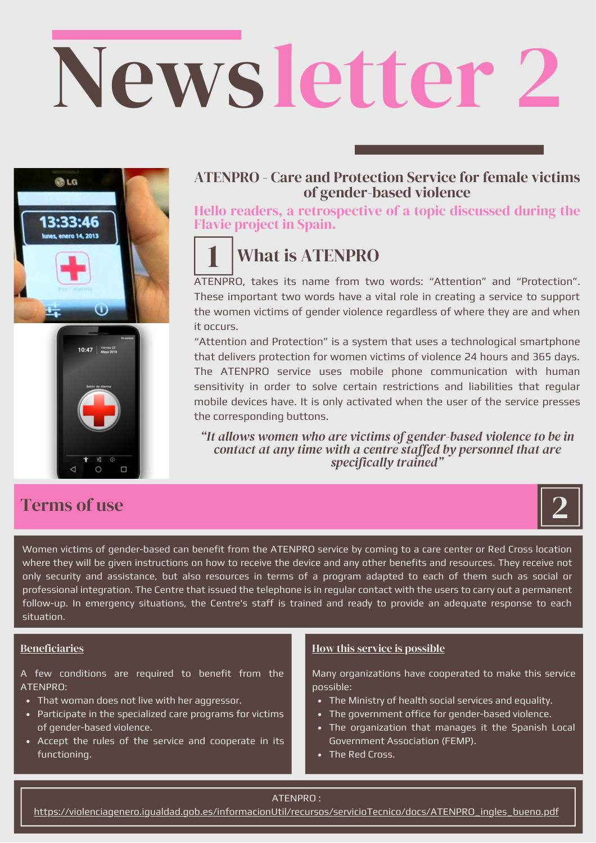# Newsletter 2



## Terms of use

## ATENPRO - Care and Protection Service for female victims of gender-based violence

Hello readers, a retrospective of a topic discussed during the Flavie project in Spain.

# What is ATENPRO

1 ATENPRO, takes its name from two words: "Attention" and "Protection". These important two words have a vital role in creating a service to support the women victims of gender violence regardless of where they are and when it occurs.

"Attention and Protection" is a system that uses a technological smartphone that delivers protection for women victims of violence 24 hours and 365 days. The ATENPRO service uses mobile phone communication with human sensitivity in order to solve certain restrictions and liabilities that regular mobile devices have. It is only activated when the user of the service presses the corresponding buttons.

*"It allows women who are victims of gender-based violence to be in contact at any time with a centre staffed by personnel that are specifically trained"*



Women victims of gender-based can benefit from the ATENPRO service by coming to a care center or Red Cross location where they will be given instructions on how to receive the device and any other benefits and resources. They receive not only security and assistance, but also resources in terms of a program adapted to each of them such as social or professional integration. The Centre that issued the telephone is in regular contact with the users to carry out a permanent follow-up. In emergency situations, the Centre's staff is trained and ready to provide an adequate response to each situation.

### **Beneficiaries**

A few conditions are required to benefit from the ATENPRO:

- That woman does not live with her aggressor.
- Participate in the specialized care programs for victims of gender-based violence.
- Accept the rules of the service and cooperate in its functioning.

### How this service is possible

Many organizations have cooperated to make this service possible:

- The Ministry of health social services and equality.
- The government office for gender-based violence.
- The organization that manages it the Spanish Local Government Association (FEMP).
- The Red Cross.

#### ATENPRO :

[https://violenciagenero.igualdad.gob.es/informacionUtil/recursos/servicioTecnico/docs/ATENPRO\\_ingles\\_bueno.pdf](https://violenciagenero.igualdad.gob.es/informacionUtil/recursos/servicioTecnico/docs/ATENPRO_ingles_bueno.pdf)